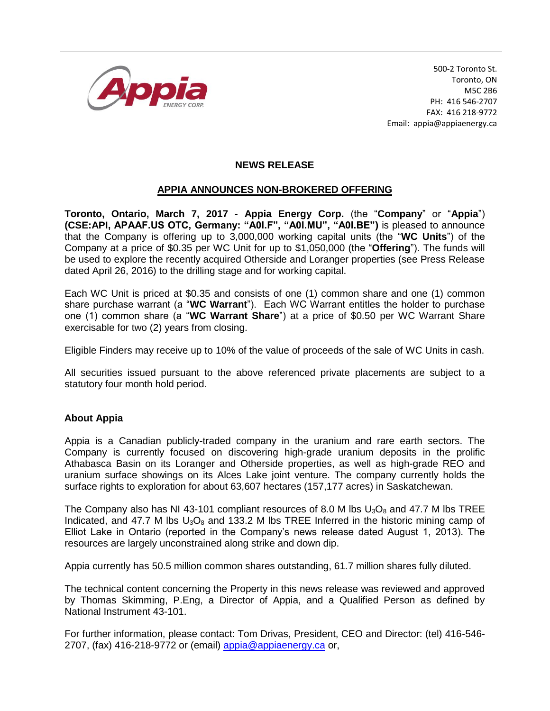

500-2 Toronto St. Toronto, ON M5C 2B6 PH: 416 546-2707 FAX: 416 218-9772 Email: appia@appiaenergy.ca

## **NEWS RELEASE**

## **APPIA ANNOUNCES NON-BROKERED OFFERING**

**Toronto, Ontario, March 7, 2017 - Appia Energy Corp.** (the "**Company**" or "**Appia**") **(CSE:API, APAAF.US OTC, Germany: "A0I.F", "A0I.MU", "A0I.BE")** is pleased to announce that the Company is offering up to 3,000,000 working capital units (the "**WC Units**") of the Company at a price of \$0.35 per WC Unit for up to \$1,050,000 (the "**Offering**"). The funds will be used to explore the recently acquired Otherside and Loranger properties (see Press Release dated April 26, 2016) to the drilling stage and for working capital.

Each WC Unit is priced at \$0.35 and consists of one (1) common share and one (1) common share purchase warrant (a "**WC Warrant**"). Each WC Warrant entitles the holder to purchase one (1) common share (a "**WC Warrant Share**") at a price of \$0.50 per WC Warrant Share exercisable for two (2) years from closing.

Eligible Finders may receive up to 10% of the value of proceeds of the sale of WC Units in cash.

All securities issued pursuant to the above referenced private placements are subject to a statutory four month hold period.

## **About Appia**

Appia is a Canadian publicly-traded company in the uranium and rare earth sectors. The Company is currently focused on discovering high-grade uranium deposits in the prolific Athabasca Basin on its Loranger and Otherside properties, as well as high-grade REO and uranium surface showings on its Alces Lake joint venture. The company currently holds the surface rights to exploration for about 63,607 hectares (157,177 acres) in Saskatchewan.

The Company also has NI 43-101 compliant resources of 8.0 M lbs  $U_3O_8$  and 47.7 M lbs TREE Indicated, and 47.7 M lbs  $U_3O_8$  and 133.2 M lbs TREE Inferred in the historic mining camp of Elliot Lake in Ontario (reported in the Company's news release dated August 1, 2013). The resources are largely unconstrained along strike and down dip.

Appia currently has 50.5 million common shares outstanding, 61.7 million shares fully diluted.

The technical content concerning the Property in this news release was reviewed and approved by Thomas Skimming, P.Eng, a Director of Appia, and a Qualified Person as defined by National Instrument 43-101.

For further information, please contact: Tom Drivas, President, CEO and Director: (tel) 416-546- 2707, (fax) 416-218-9772 or (email) [appia@appiaenergy.ca](mailto:appia@appiaenergy.ca) or,